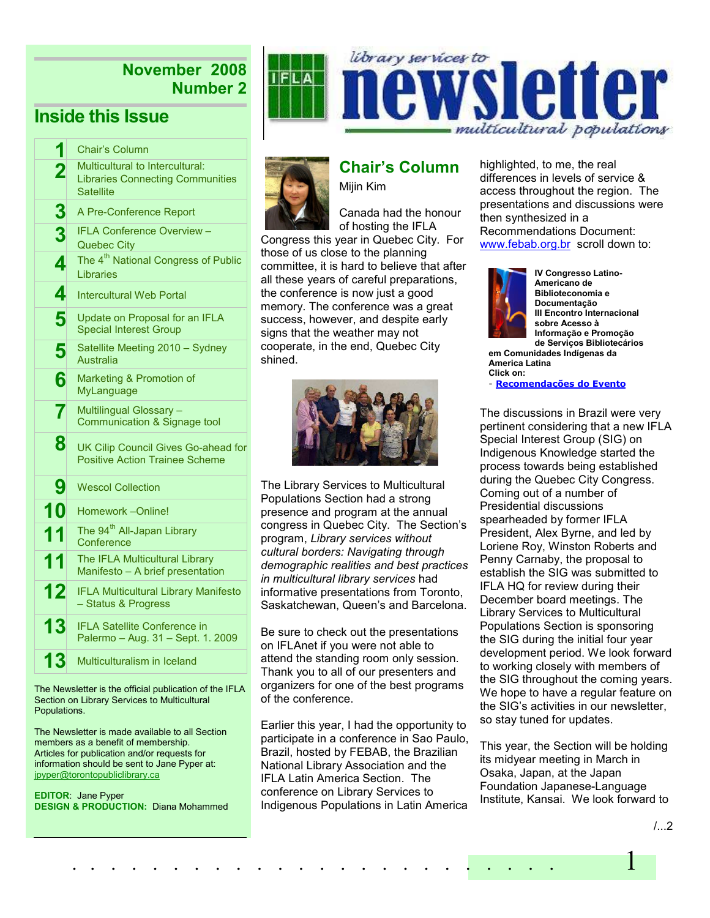# November 2008 Number 2

# Inside this Issue

| 1                       | <b>Chair's Column</b>                                                                          |  |  |  |
|-------------------------|------------------------------------------------------------------------------------------------|--|--|--|
| $\overline{\mathbf{2}}$ | Multicultural to Intercultural:<br><b>Libraries Connecting Communities</b><br><b>Satellite</b> |  |  |  |
| 3                       | A Pre-Conference Report                                                                        |  |  |  |
| 3                       | <b>IFLA Conference Overview -</b><br><b>Quebec City</b>                                        |  |  |  |
| 4                       | The 4 <sup>th</sup> National Congress of Public<br>Libraries                                   |  |  |  |
| 4                       | <b>Intercultural Web Portal</b>                                                                |  |  |  |
| 5                       | Update on Proposal for an IFLA<br><b>Special Interest Group</b>                                |  |  |  |
| 5                       | Satellite Meeting 2010 - Sydney<br>Australia                                                   |  |  |  |
| 6                       | Marketing & Promotion of<br>MyLanguage                                                         |  |  |  |
| 7                       | Multilingual Glossary -<br>Communication & Signage tool                                        |  |  |  |
| 8                       | UK Cilip Council Gives Go-ahead for<br><b>Positive Action Trainee Scheme</b>                   |  |  |  |
| 9                       | <b>Wescol Collection</b>                                                                       |  |  |  |
| 10                      | Homework --Online!                                                                             |  |  |  |
| 11                      | The 94 <sup>th</sup> All-Japan Library<br>Conference                                           |  |  |  |
| 11                      | The IFLA Multicultural Library<br>Manifesto - A brief presentation                             |  |  |  |
| 12                      | <b>IFLA Multicultural Library Manifesto</b><br>- Status & Progress                             |  |  |  |
| 13                      | <b>IFLA Satellite Conference in</b><br>Palermo - Aug. 31 - Sept. 1. 2009                       |  |  |  |
| 13                      | Multiculturalism in Iceland                                                                    |  |  |  |

The Newsletter is the official publication of the IFLA Section on Library Services to Multicultural Populations.

The Newsletter is made available to all Section members as a benefit of membership. Articles for publication and/or requests for information should be sent to Jane Pyper at: jpyper@torontopubliclibrary.ca

EDITOR: Jane Pyper DESIGN & PRODUCTION: Diana Mohammed



# Chair's Column

Mijin Kim

Canada had the honour of hosting the IFLA Congress this year in Quebec City. For those of us close to the planning committee, it is hard to believe that after all these years of careful preparations, the conference is now just a good memory. The conference was a great success, however, and despite early signs that the weather may not cooperate, in the end, Quebec City shined.



The Library Services to Multicultural Populations Section had a strong presence and program at the annual congress in Quebec City. The Section's program, Library services without cultural borders: Navigating through demographic realities and best practices in multicultural library services had informative presentations from Toronto, Saskatchewan, Queen's and Barcelona.

Be sure to check out the presentations on IFLAnet if you were not able to attend the standing room only session. Thank you to all of our presenters and organizers for one of the best programs of the conference.

Earlier this year, I had the opportunity to participate in a conference in Sao Paulo, Brazil, hosted by FEBAB, the Brazilian National Library Association and the IFLA Latin America Section. The conference on Library Services to Indigenous Populations in Latin America

. . . . . . . . . . . . . . . . . . . . . . . . 1

library services to

highlighted, to me, the real differences in levels of service & access throughout the region. The presentations and discussions were then synthesized in a Recommendations Document: www.febab.org.br scroll down to:

multicultural populations

sletter



IV Congresso Latino-Americano de Biblioteconomia e Documentação III Encontro Internacional sobre Acesso à Informação e Promoção de Serviços Bibliotecários

em Comunidades Indígenas da America Latina Click on:

- Recomendações do Evento

The discussions in Brazil were very pertinent considering that a new IFLA Special Interest Group (SIG) on Indigenous Knowledge started the process towards being established during the Quebec City Congress. Coming out of a number of Presidential discussions spearheaded by former IFLA President, Alex Byrne, and led by Loriene Roy, Winston Roberts and Penny Carnaby, the proposal to establish the SIG was submitted to IFLA HQ for review during their December board meetings. The Library Services to Multicultural Populations Section is sponsoring the SIG during the initial four year development period. We look forward to working closely with members of the SIG throughout the coming years. We hope to have a regular feature on the SIG's activities in our newsletter, so stay tuned for updates.

This year, the Section will be holding its midyear meeting in March in Osaka, Japan, at the Japan Foundation Japanese-Language Institute, Kansai. We look forward to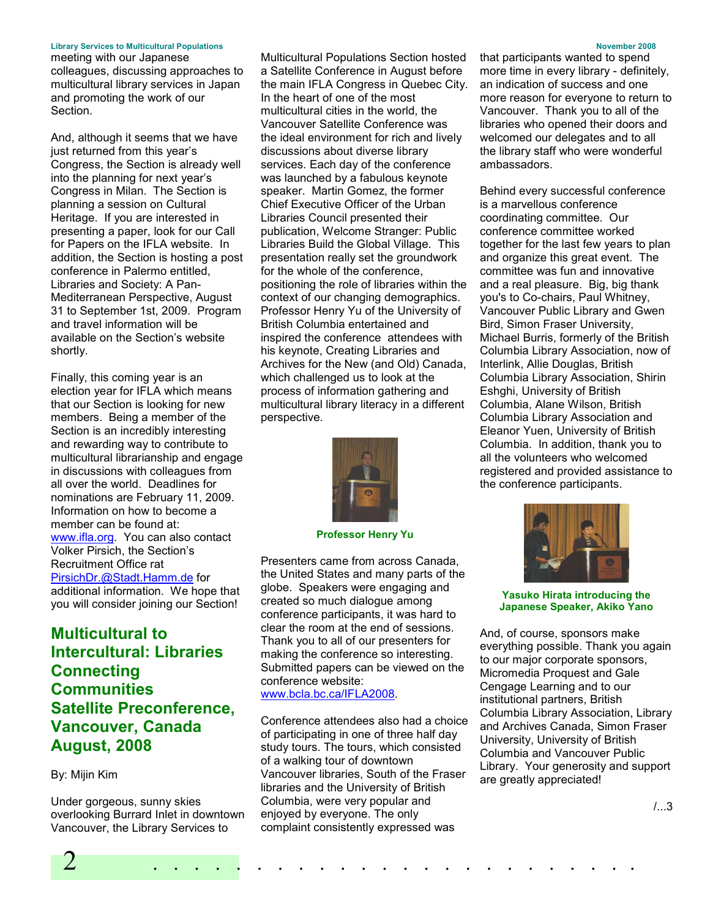#### Library Services to Multicultural Populations November 2008

meeting with our Japanese colleagues, discussing approaches to multicultural library services in Japan and promoting the work of our Section.

And, although it seems that we have just returned from this year's Congress, the Section is already well into the planning for next year's Congress in Milan. The Section is planning a session on Cultural Heritage. If you are interested in presenting a paper, look for our Call for Papers on the IFLA website. In addition, the Section is hosting a post conference in Palermo entitled, Libraries and Society: A Pan-Mediterranean Perspective, August 31 to September 1st, 2009. Program and travel information will be available on the Section's website shortly.

Finally, this coming year is an election year for IFLA which means that our Section is looking for new members. Being a member of the Section is an incredibly interesting and rewarding way to contribute to multicultural librarianship and engage in discussions with colleagues from all over the world. Deadlines for nominations are February 11, 2009. Information on how to become a member can be found at: www.ifla.org. You can also contact Volker Pirsich, the Section's Recruitment Office rat PirsichDr.@Stadt.Hamm.de for additional information. We hope that you will consider joining our Section!

# Multicultural to Intercultural: Libraries **Connecting Communities** Satellite Preconference, Vancouver, Canada August, 2008

#### By: Mijin Kim

Under gorgeous, sunny skies overlooking Burrard Inlet in downtown Vancouver, the Library Services to

Multicultural Populations Section hosted a Satellite Conference in August before the main IFLA Congress in Quebec City. In the heart of one of the most multicultural cities in the world, the Vancouver Satellite Conference was the ideal environment for rich and lively discussions about diverse library services. Each day of the conference was launched by a fabulous keynote speaker. Martin Gomez, the former Chief Executive Officer of the Urban Libraries Council presented their publication, Welcome Stranger: Public Libraries Build the Global Village. This presentation really set the groundwork for the whole of the conference, positioning the role of libraries within the context of our changing demographics. Professor Henry Yu of the University of British Columbia entertained and inspired the conference attendees with his keynote, Creating Libraries and Archives for the New (and Old) Canada, which challenged us to look at the process of information gathering and multicultural library literacy in a different perspective.



Professor Henry Yu

Presenters came from across Canada, the United States and many parts of the globe. Speakers were engaging and created so much dialogue among conference participants, it was hard to clear the room at the end of sessions. Thank you to all of our presenters for making the conference so interesting. Submitted papers can be viewed on the conference website: www.bcla.bc.ca/IFLA2008.

Conference attendees also had a choice of participating in one of three half day study tours. The tours, which consisted of a walking tour of downtown Vancouver libraries, South of the Fraser libraries and the University of British Columbia, were very popular and enjoyed by everyone. The only complaint consistently expressed was

2 . . . . . . . . . . . . . . . . . . . . . . . .

that participants wanted to spend more time in every library - definitely, an indication of success and one more reason for everyone to return to Vancouver. Thank you to all of the libraries who opened their doors and welcomed our delegates and to all the library staff who were wonderful ambassadors.

Behind every successful conference is a marvellous conference coordinating committee. Our conference committee worked together for the last few years to plan and organize this great event. The committee was fun and innovative and a real pleasure. Big, big thank you's to Co-chairs, Paul Whitney, Vancouver Public Library and Gwen Bird, Simon Fraser University, Michael Burris, formerly of the British Columbia Library Association, now of Interlink, Allie Douglas, British Columbia Library Association, Shirin Eshghi, University of British Columbia, Alane Wilson, British Columbia Library Association and Eleanor Yuen, University of British Columbia. In addition, thank you to all the volunteers who welcomed registered and provided assistance to the conference participants.



#### Yasuko Hirata introducing the Japanese Speaker, Akiko Yano

And, of course, sponsors make everything possible. Thank you again to our major corporate sponsors, Micromedia Proquest and Gale Cengage Learning and to our institutional partners, British Columbia Library Association, Library and Archives Canada, Simon Fraser University, University of British Columbia and Vancouver Public Library. Your generosity and support are greatly appreciated!

 $/3$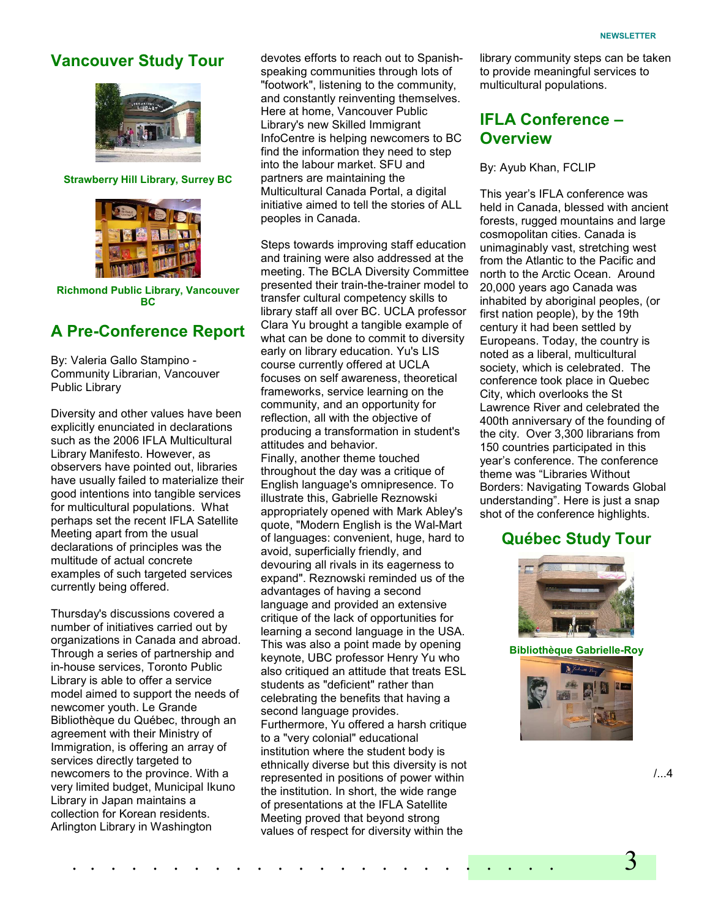# Vancouver Study Tour



#### Strawberry Hill Library, Surrey BC



Richmond Public Library, Vancouver BC

## A Pre-Conference Report

By: Valeria Gallo Stampino - Community Librarian, Vancouver Public Library

Diversity and other values have been explicitly enunciated in declarations such as the 2006 IFLA Multicultural Library Manifesto. However, as observers have pointed out, libraries have usually failed to materialize their good intentions into tangible services for multicultural populations. What perhaps set the recent IFLA Satellite Meeting apart from the usual declarations of principles was the multitude of actual concrete examples of such targeted services currently being offered.

Thursday's discussions covered a number of initiatives carried out by organizations in Canada and abroad. Through a series of partnership and in-house services, Toronto Public Library is able to offer a service model aimed to support the needs of newcomer youth. Le Grande Bibliothèque du Québec, through an agreement with their Ministry of Immigration, is offering an array of services directly targeted to newcomers to the province. With a very limited budget, Municipal Ikuno Library in Japan maintains a collection for Korean residents. Arlington Library in Washington

devotes efforts to reach out to Spanishspeaking communities through lots of "footwork", listening to the community, and constantly reinventing themselves. Here at home, Vancouver Public Library's new Skilled Immigrant InfoCentre is helping newcomers to BC find the information they need to step into the labour market. SFU and partners are maintaining the Multicultural Canada Portal, a digital initiative aimed to tell the stories of ALL peoples in Canada.

Steps towards improving staff education and training were also addressed at the meeting. The BCLA Diversity Committee presented their train-the-trainer model to transfer cultural competency skills to library staff all over BC. UCLA professor Clara Yu brought a tangible example of what can be done to commit to diversity early on library education. Yu's LIS course currently offered at UCLA focuses on self awareness, theoretical frameworks, service learning on the community, and an opportunity for reflection, all with the objective of producing a transformation in student's attitudes and behavior. Finally, another theme touched throughout the day was a critique of English language's omnipresence. To illustrate this, Gabrielle Reznowski appropriately opened with Mark Abley's quote, "Modern English is the Wal-Mart of languages: convenient, huge, hard to avoid, superficially friendly, and devouring all rivals in its eagerness to expand". Reznowski reminded us of the advantages of having a second language and provided an extensive critique of the lack of opportunities for learning a second language in the USA. This was also a point made by opening keynote, UBC professor Henry Yu who also critiqued an attitude that treats ESL students as "deficient" rather than celebrating the benefits that having a second language provides. Furthermore, Yu offered a harsh critique

to a "very colonial" educational institution where the student body is ethnically diverse but this diversity is not represented in positions of power within the institution. In short, the wide range of presentations at the IFLA Satellite Meeting proved that beyond strong values of respect for diversity within the

. . . . . . . . . . . . . . . . . . . . . . . . 3

library community steps can be taken to provide meaningful services to multicultural populations.

# IFLA Conference – **Overview**

By: Ayub Khan, FCLIP

This year's IFLA conference was held in Canada, blessed with ancient forests, rugged mountains and large cosmopolitan cities. Canada is unimaginably vast, stretching west from the Atlantic to the Pacific and north to the Arctic Ocean. Around 20,000 years ago Canada was inhabited by aboriginal peoples, (or first nation people), by the 19th century it had been settled by Europeans. Today, the country is noted as a liberal, multicultural society, which is celebrated. The conference took place in Quebec City, which overlooks the St Lawrence River and celebrated the 400th anniversary of the founding of the city. Over 3,300 librarians from 150 countries participated in this year's conference. The conference theme was "Libraries Without Borders: Navigating Towards Global understanding". Here is just a snap shot of the conference highlights.

## Québec Study Tour



Bibliothèque Gabrielle-Roy



/...4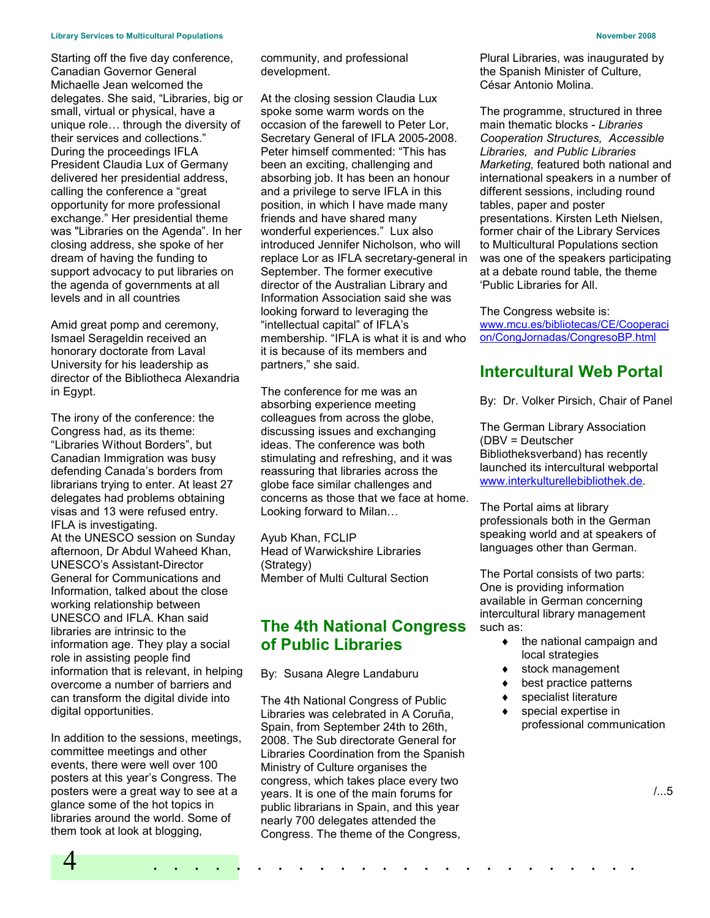#### Library Services to Multicultural Populations November 2008

Starting off the five day conference, Canadian Governor General Michaelle Jean welcomed the delegates. She said, "Libraries, big or small, virtual or physical, have a unique role… through the diversity of their services and collections." During the proceedings IFLA President Claudia Lux of Germany delivered her presidential address, calling the conference a "great opportunity for more professional exchange." Her presidential theme was "Libraries on the Agenda". In her closing address, she spoke of her dream of having the funding to support advocacy to put libraries on the agenda of governments at all levels and in all countries

Amid great pomp and ceremony, Ismael Serageldin received an honorary doctorate from Laval University for his leadership as director of the Bibliotheca Alexandria in Egypt.

The irony of the conference: the Congress had, as its theme: "Libraries Without Borders", but Canadian Immigration was busy defending Canada's borders from librarians trying to enter. At least 27 delegates had problems obtaining visas and 13 were refused entry. IFLA is investigating. At the UNESCO session on Sunday afternoon, Dr Abdul Waheed Khan, UNESCO's Assistant-Director General for Communications and Information, talked about the close working relationship between UNESCO and IFLA. Khan said libraries are intrinsic to the information age. They play a social role in assisting people find information that is relevant, in helping overcome a number of barriers and can transform the digital divide into digital opportunities.

In addition to the sessions, meetings, committee meetings and other events, there were well over 100 posters at this year's Congress. The posters were a great way to see at a glance some of the hot topics in libraries around the world. Some of them took at look at blogging,

community, and professional development.

At the closing session Claudia Lux spoke some warm words on the occasion of the farewell to Peter Lor, Secretary General of IFLA 2005-2008. Peter himself commented: "This has been an exciting, challenging and absorbing job. It has been an honour and a privilege to serve IFLA in this position, in which I have made many friends and have shared many wonderful experiences." Lux also introduced Jennifer Nicholson, who will replace Lor as IFLA secretary-general in September. The former executive director of the Australian Library and Information Association said she was looking forward to leveraging the "intellectual capital" of IFLA's membership. "IFLA is what it is and who it is because of its members and partners," she said.

The conference for me was an absorbing experience meeting colleagues from across the globe, discussing issues and exchanging ideas. The conference was both stimulating and refreshing, and it was reassuring that libraries across the globe face similar challenges and concerns as those that we face at home. Looking forward to Milan…

Ayub Khan, FCLIP Head of Warwickshire Libraries (Strategy) Member of Multi Cultural Section

# The 4th National Congress of Public Libraries

By: Susana Alegre Landaburu

The 4th National Congress of Public Libraries was celebrated in A Coruña, Spain, from September 24th to 26th, 2008. The Sub directorate General for Libraries Coordination from the Spanish Ministry of Culture organises the congress, which takes place every two years. It is one of the main forums for public librarians in Spain, and this year nearly 700 delegates attended the Congress. The theme of the Congress,

4 . . . . . . . . . . . . . . . . . . . . . . . .

Plural Libraries, was inaugurated by the Spanish Minister of Culture, César Antonio Molina.

The programme, structured in three main thematic blocks - Libraries Cooperation Structures, Accessible Libraries, and Public Libraries Marketing, featured both national and international speakers in a number of different sessions, including round tables, paper and poster presentations. Kirsten Leth Nielsen, former chair of the Library Services to Multicultural Populations section was one of the speakers participating at a debate round table, the theme 'Public Libraries for All.

The Congress website is: www.mcu.es/bibliotecas/CE/Cooperaci on/CongJornadas/CongresoBP.html

# Intercultural Web Portal

By: Dr. Volker Pirsich, Chair of Panel

The German Library Association (DBV = Deutscher Bibliotheksverband) has recently launched its intercultural webportal www.interkulturellebibliothek.de.

The Portal aims at library professionals both in the German speaking world and at speakers of languages other than German.

The Portal consists of two parts: One is providing information available in German concerning intercultural library management such as:

- $\bullet$  the national campaign and local strategies
- stock management
- best practice patterns
- specialist literature
- special expertise in professional communication

/...5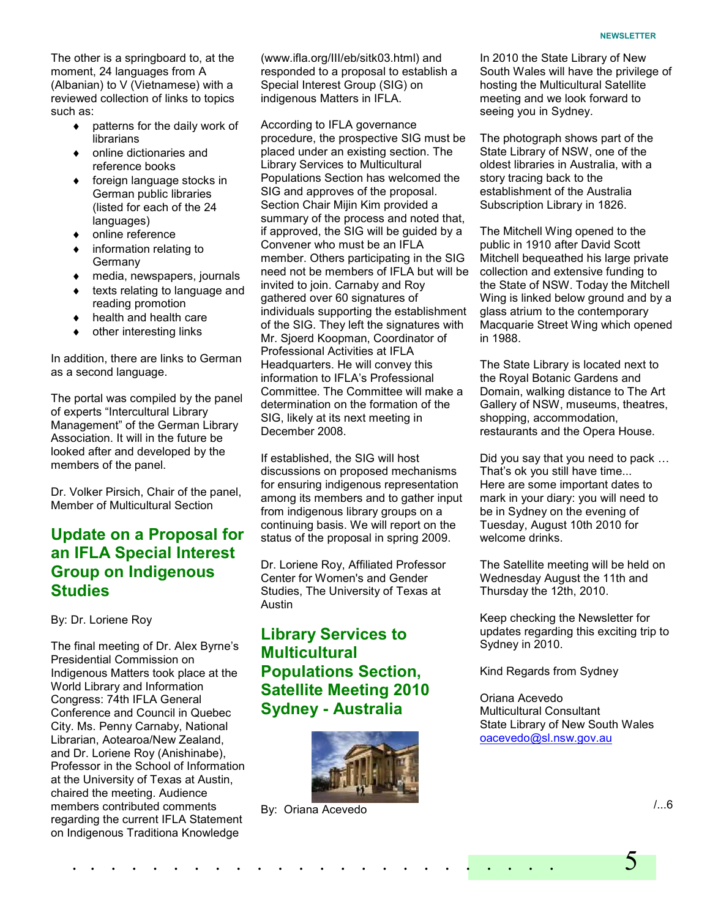The other is a springboard to, at the moment, 24 languages from A (Albanian) to V (Vietnamese) with a reviewed collection of links to topics such as:

- ♦ patterns for the daily work of librarians
- ♦ online dictionaries and reference books
- foreign language stocks in German public libraries (listed for each of the 24 languages)
- online reference
- ♦ information relating to Germany
- ♦ media, newspapers, journals
- texts relating to language and reading promotion
- health and health care
- other interesting links

In addition, there are links to German as a second language.

The portal was compiled by the panel of experts "Intercultural Library Management" of the German Library Association. It will in the future be looked after and developed by the members of the panel.

Dr. Volker Pirsich, Chair of the panel, Member of Multicultural Section

# Update on a Proposal for an IFLA Special Interest Group on Indigenous **Studies**

By: Dr. Loriene Roy

The final meeting of Dr. Alex Byrne's Presidential Commission on Indigenous Matters took place at the World Library and Information Congress: 74th IFLA General Conference and Council in Quebec City. Ms. Penny Carnaby, National Librarian, Aotearoa/New Zealand, and Dr. Loriene Roy (Anishinabe), Professor in the School of Information at the University of Texas at Austin, chaired the meeting. Audience members contributed comments regarding the current IFLA Statement on Indigenous Traditiona Knowledge

(www.ifla.org/III/eb/sitk03.html) and responded to a proposal to establish a Special Interest Group (SIG) on indigenous Matters in IFLA.

According to IFLA governance procedure, the prospective SIG must be placed under an existing section. The Library Services to Multicultural Populations Section has welcomed the SIG and approves of the proposal. Section Chair Mijin Kim provided a summary of the process and noted that, if approved, the SIG will be guided by a Convener who must be an IFLA member. Others participating in the SIG need not be members of IFLA but will be invited to join. Carnaby and Roy gathered over 60 signatures of individuals supporting the establishment of the SIG. They left the signatures with Mr. Sjoerd Koopman, Coordinator of Professional Activities at IFLA Headquarters. He will convey this information to IFLA's Professional Committee. The Committee will make a determination on the formation of the SIG, likely at its next meeting in December 2008.

If established, the SIG will host discussions on proposed mechanisms for ensuring indigenous representation among its members and to gather input from indigenous library groups on a continuing basis. We will report on the status of the proposal in spring 2009.

Dr. Loriene Roy, Affiliated Professor Center for Women's and Gender Studies, The University of Texas at Austin

# Library Services to **Multicultural** Populations Section, Satellite Meeting 2010 Sydney - Australia



. . . . . . . . . . . . . . . . . . . . . . . . 5

By: Oriana Acevedo

In 2010 the State Library of New South Wales will have the privilege of hosting the Multicultural Satellite meeting and we look forward to seeing you in Sydney.

The photograph shows part of the State Library of NSW, one of the oldest libraries in Australia, with a story tracing back to the establishment of the Australia Subscription Library in 1826.

The Mitchell Wing opened to the public in 1910 after David Scott Mitchell bequeathed his large private collection and extensive funding to the State of NSW. Today the Mitchell Wing is linked below ground and by a glass atrium to the contemporary Macquarie Street Wing which opened in 1988.

The State Library is located next to the Royal Botanic Gardens and Domain, walking distance to The Art Gallery of NSW, museums, theatres, shopping, accommodation, restaurants and the Opera House.

Did you say that you need to pack … That's ok you still have time... Here are some important dates to mark in your diary: you will need to be in Sydney on the evening of Tuesday, August 10th 2010 for welcome drinks.

The Satellite meeting will be held on Wednesday August the 11th and Thursday the 12th, 2010.

Keep checking the Newsletter for updates regarding this exciting trip to Sydney in 2010.

Kind Regards from Sydney

Oriana Acevedo Multicultural Consultant State Library of New South Wales oacevedo@sl.nsw.gov.au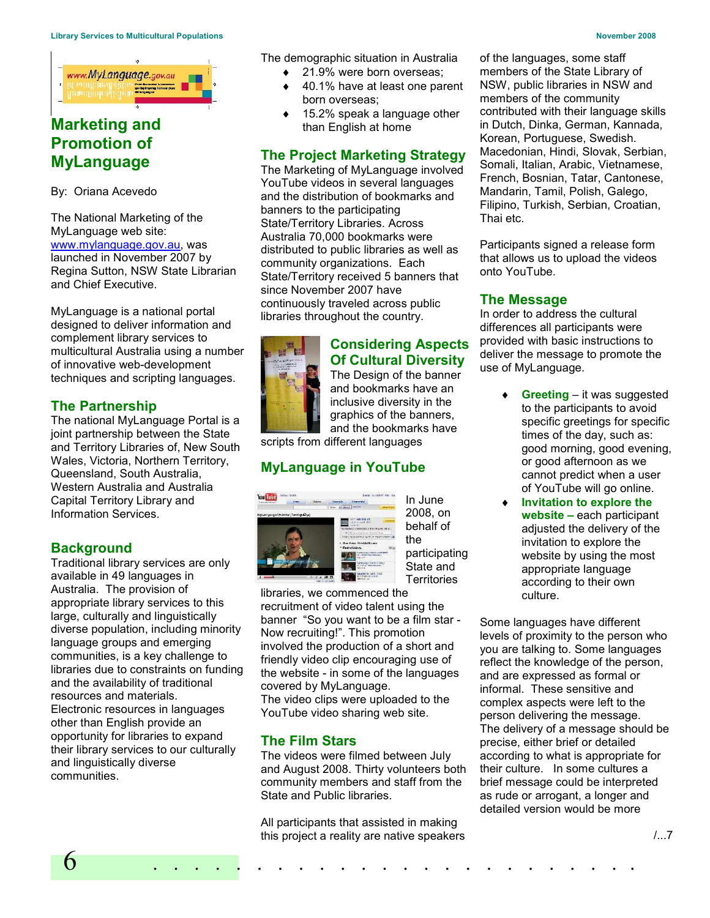

# Marketing and Promotion of MyLanguage

By: Oriana Acevedo

The National Marketing of the MyLanguage web site: www.mylanguage.gov.au, was launched in November 2007 by Regina Sutton, NSW State Librarian and Chief Executive.

MyLanguage is a national portal designed to deliver information and complement library services to multicultural Australia using a number of innovative web-development techniques and scripting languages.

# The Partnership

The national MyLanguage Portal is a joint partnership between the State and Territory Libraries of, New South Wales, Victoria, Northern Territory, Queensland, South Australia, Western Australia and Australia Capital Territory Library and Information Services.

# **Background**

Traditional library services are only available in 49 languages in Australia. The provision of appropriate library services to this large, culturally and linguistically diverse population, including minority language groups and emerging communities, is a key challenge to libraries due to constraints on funding and the availability of traditional resources and materials. Electronic resources in languages other than English provide an opportunity for libraries to expand their library services to our culturally and linguistically diverse communities.

The demographic situation in Australia

- 21.9% were born overseas:
- ♦ 40.1% have at least one parent born overseas;
- 15.2% speak a language other than English at home

## The Project Marketing Strategy

The Marketing of MyLanguage involved YouTube videos in several languages and the distribution of bookmarks and banners to the participating State/Territory Libraries. Across Australia 70,000 bookmarks were distributed to public libraries as well as community organizations. Each State/Territory received 5 banners that since November 2007 have continuously traveled across public libraries throughout the country.



## Considering Aspects Of Cultural Diversity

The Design of the banner and bookmarks have an inclusive diversity in the graphics of the banners, and the bookmarks have

scripts from different languages

# MyLanguage in YouTube



In June 2008, on behalf of the participating State and **Territories** 

libraries, we commenced the recruitment of video talent using the banner "So you want to be a film star - Now recruiting!". This promotion involved the production of a short and friendly video clip encouraging use of the website - in some of the languages covered by MyLanguage. The video clips were uploaded to the YouTube video sharing web site.

# The Film Stars

The videos were filmed between July and August 2008. Thirty volunteers both community members and staff from the State and Public libraries.

6 . . . . . . . . . . . . . . . . . . . . . . . . All participants that assisted in making this project a reality are native speakers

of the languages, some staff members of the State Library of NSW, public libraries in NSW and members of the community contributed with their language skills in Dutch, Dinka, German, Kannada, Korean, Portuguese, Swedish. Macedonian, Hindi, Slovak, Serbian, Somali, Italian, Arabic, Vietnamese, French, Bosnian, Tatar, Cantonese, Mandarin, Tamil, Polish, Galego, Filipino, Turkish, Serbian, Croatian, Thai etc.

Participants signed a release form that allows us to upload the videos onto YouTube.

## The Message

In order to address the cultural differences all participants were provided with basic instructions to deliver the message to promote the use of MyLanguage.

- **Greeting it was suggested** to the participants to avoid specific greetings for specific times of the day, such as: good morning, good evening, or good afternoon as we cannot predict when a user of YouTube will go online.
- Invitation to explore the website – each participant adjusted the delivery of the invitation to explore the website by using the most appropriate language according to their own culture.

Some languages have different levels of proximity to the person who you are talking to. Some languages reflect the knowledge of the person, and are expressed as formal or informal. These sensitive and complex aspects were left to the person delivering the message. The delivery of a message should be precise, either brief or detailed according to what is appropriate for their culture. In some cultures a brief message could be interpreted as rude or arrogant, a longer and detailed version would be more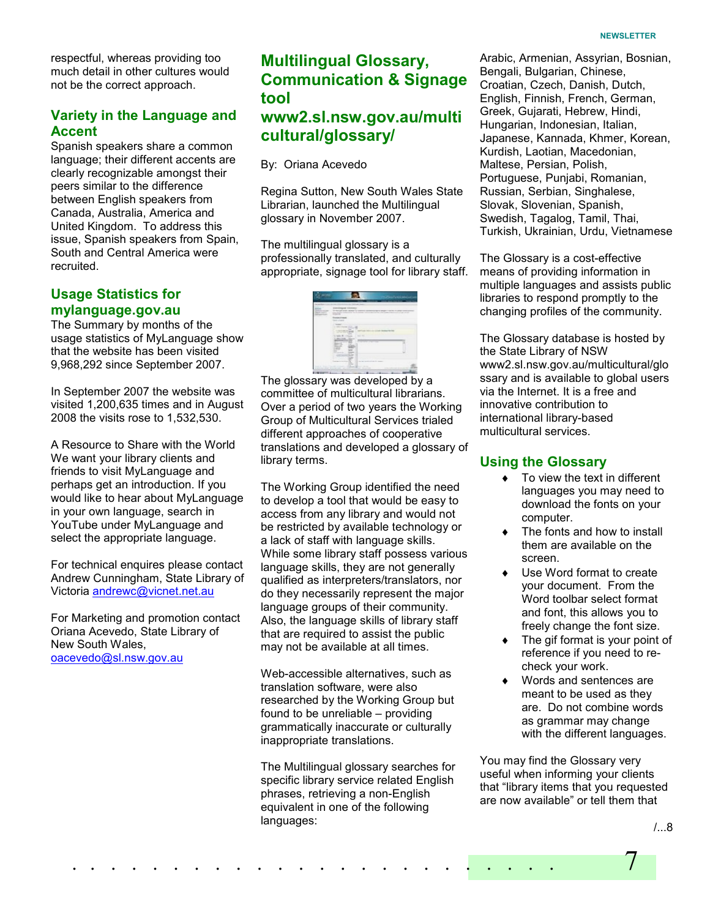respectful, whereas providing too much detail in other cultures would not be the correct approach.

### Variety in the Language and Accent

Spanish speakers share a common language; their different accents are clearly recognizable amongst their peers similar to the difference between English speakers from Canada, Australia, America and United Kingdom. To address this issue, Spanish speakers from Spain, South and Central America were recruited.

### Usage Statistics for mylanguage.gov.au

The Summary by months of the usage statistics of MyLanguage show that the website has been visited 9,968,292 since September 2007.

In September 2007 the website was visited 1,200,635 times and in August 2008 the visits rose to 1,532,530.

A Resource to Share with the World We want your library clients and friends to visit MyLanguage and perhaps get an introduction. If you would like to hear about MyLanguage in your own language, search in YouTube under MyLanguage and select the appropriate language.

For technical enquires please contact Andrew Cunningham, State Library of Victoria andrewc@vicnet.net.au

For Marketing and promotion contact Oriana Acevedo, State Library of New South Wales, oacevedo@sl.nsw.gov.au

# Multilingual Glossary, Communication & Signage tool www2.sl.nsw.gov.au/multi cultural/glossary/

By: Oriana Acevedo

Regina Sutton, New South Wales State Librarian, launched the Multilingual glossary in November 2007.

The multilingual glossary is a professionally translated, and culturally appropriate, signage tool for library staff.

| ---            |                                                                                                      |                                         | $\sim$<br>                         |
|----------------|------------------------------------------------------------------------------------------------------|-----------------------------------------|------------------------------------|
| <b>Service</b> | <b>CALL CALL</b>                                                                                     |                                         |                                    |
| $\sim$<br>     | In manufationary scale in the monotone<br>---<br>to an extensive continuous and<br><b>CONTRACTOR</b> |                                         | -<br>the company of the company of |
|                | <b>START COMMA</b><br>and columns of                                                                 |                                         |                                    |
|                | <b>STE</b><br><b>CALCULATION</b><br>$\sim$<br>۰<br>$=$<br>s                                          |                                         |                                    |
|                | <b>STAR</b><br>=<br><b>SHOW: 19</b><br>÷<br>×<br>silver in three<br>÷                                | <b>SILL AV</b>                          |                                    |
|                |                                                                                                      | ______                                  |                                    |
|                | <br>۰<br><br>                                                                                        |                                         |                                    |
|                | <b>STATE</b><br>$-$<br>÷<br>m.<br><b>Service</b> 1                                                   | The moving benefits and with the former |                                    |
|                | -<br>- -<br>-                                                                                        | and the first of the country            |                                    |

The glossary was developed by a committee of multicultural librarians. Over a period of two years the Working Group of Multicultural Services trialed different approaches of cooperative translations and developed a glossary of library terms.

The Working Group identified the need to develop a tool that would be easy to access from any library and would not be restricted by available technology or a lack of staff with language skills. While some library staff possess various language skills, they are not generally qualified as interpreters/translators, nor do they necessarily represent the major language groups of their community. Also, the language skills of library staff that are required to assist the public may not be available at all times.

Web-accessible alternatives, such as translation software, were also researched by the Working Group but found to be unreliable – providing grammatically inaccurate or culturally inappropriate translations.

The Multilingual glossary searches for specific library service related English phrases, retrieving a non-English equivalent in one of the following languages:

Arabic, Armenian, Assyrian, Bosnian, Bengali, Bulgarian, Chinese, Croatian, Czech, Danish, Dutch, English, Finnish, French, German, Greek, Gujarati, Hebrew, Hindi, Hungarian, Indonesian, Italian, Japanese, Kannada, Khmer, Korean, Kurdish, Laotian, Macedonian, Maltese, Persian, Polish, Portuguese, Punjabi, Romanian, Russian, Serbian, Singhalese, Slovak, Slovenian, Spanish, Swedish, Tagalog, Tamil, Thai, Turkish, Ukrainian, Urdu, Vietnamese

The Glossary is a cost-effective means of providing information in multiple languages and assists public libraries to respond promptly to the changing profiles of the community.

The Glossary database is hosted by the State Library of NSW www2.sl.nsw.gov.au/multicultural/glo ssary and is available to global users via the Internet. It is a free and innovative contribution to international library-based multicultural services.

### Using the Glossary

- ♦ To view the text in different languages you may need to download the fonts on your computer.
- $\bullet$  The fonts and how to install them are available on the screen.
- Use Word format to create your document. From the Word toolbar select format and font, this allows you to freely change the font size.
- The gif format is your point of reference if you need to recheck your work.
- ♦ Words and sentences are meant to be used as they are. Do not combine words as grammar may change with the different languages.

You may find the Glossary very useful when informing your clients that "library items that you requested are now available" or tell them that



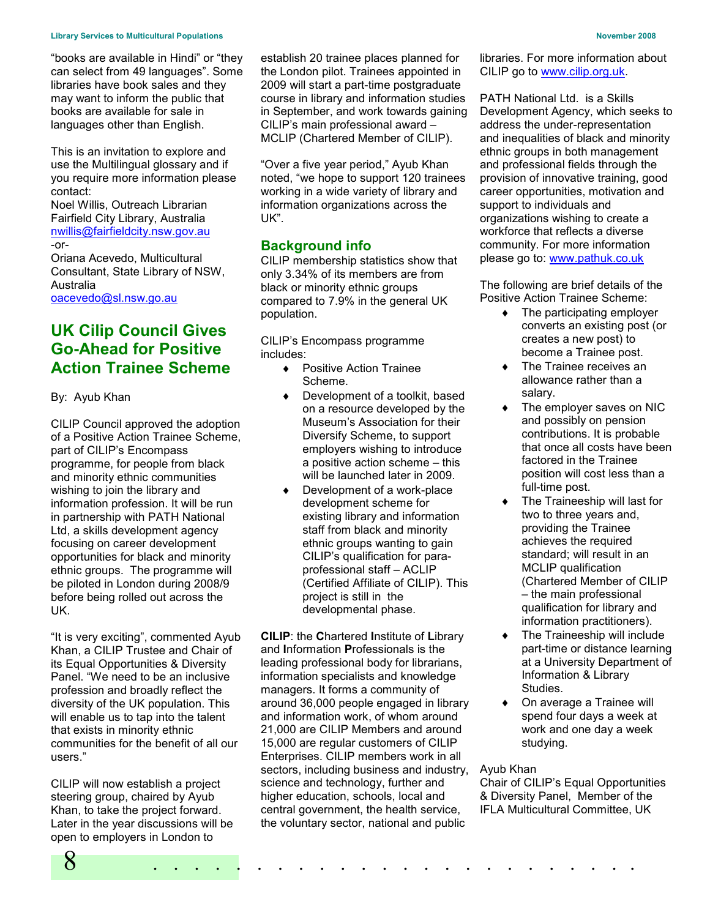"books are available in Hindi" or "they can select from 49 languages". Some libraries have book sales and they may want to inform the public that books are available for sale in languages other than English.

This is an invitation to explore and use the Multilingual glossary and if you require more information please contact:

Noel Willis, Outreach Librarian Fairfield City Library, Australia nwillis@fairfieldcity.nsw.gov.au -or-

Oriana Acevedo, Multicultural Consultant, State Library of NSW, Australia oacevedo@sl.nsw.go.au

UK Cilip Council Gives Go-Ahead for Positive Action Trainee Scheme

By: Ayub Khan

CILIP Council approved the adoption of a Positive Action Trainee Scheme, part of CILIP's Encompass programme, for people from black and minority ethnic communities wishing to join the library and information profession. It will be run in partnership with PATH National Ltd, a skills development agency focusing on career development opportunities for black and minority ethnic groups. The programme will be piloted in London during 2008/9 before being rolled out across the UK.

"It is very exciting", commented Ayub Khan, a CILIP Trustee and Chair of its Equal Opportunities & Diversity Panel. "We need to be an inclusive profession and broadly reflect the diversity of the UK population. This will enable us to tap into the talent that exists in minority ethnic communities for the benefit of all our users."

8 . . . . . . . . . . . . . . . . . . . . . . . . CILIP will now establish a project steering group, chaired by Ayub Khan, to take the project forward. Later in the year discussions will be open to employers in London to

establish 20 trainee places planned for the London pilot. Trainees appointed in 2009 will start a part-time postgraduate course in library and information studies in September, and work towards gaining CILIP's main professional award – MCLIP (Chartered Member of CILIP).

"Over a five year period," Ayub Khan noted, "we hope to support 120 trainees working in a wide variety of library and information organizations across the UK".

### Background info

CILIP membership statistics show that only 3.34% of its members are from black or minority ethnic groups compared to 7.9% in the general UK population.

CILIP's Encompass programme includes:

- ♦ Positive Action Trainee Scheme.
- ♦ Development of a toolkit, based on a resource developed by the Museum's Association for their Diversify Scheme, to support employers wishing to introduce a positive action scheme – this will be launched later in 2009.
- Development of a work-place development scheme for existing library and information staff from black and minority ethnic groups wanting to gain CILIP's qualification for paraprofessional staff – ACLIP (Certified Affiliate of CILIP). This project is still in the developmental phase.

CILIP: the Chartered Institute of Library and Information Professionals is the leading professional body for librarians, information specialists and knowledge managers. It forms a community of around 36,000 people engaged in library and information work, of whom around 21,000 are CILIP Members and around 15,000 are regular customers of CILIP Enterprises. CILIP members work in all sectors, including business and industry, science and technology, further and higher education, schools, local and central government, the health service, the voluntary sector, national and public

libraries. For more information about CILIP go to www.cilip.org.uk.

PATH National Ltd. is a Skills Development Agency, which seeks to address the under-representation and inequalities of black and minority ethnic groups in both management and professional fields through the provision of innovative training, good career opportunities, motivation and support to individuals and organizations wishing to create a workforce that reflects a diverse community. For more information please go to: www.pathuk.co.uk

The following are brief details of the Positive Action Trainee Scheme:

- $\bullet$  The participating employer converts an existing post (or creates a new post) to become a Trainee post.
- The Trainee receives an allowance rather than a salary.
- The employer saves on NIC and possibly on pension contributions. It is probable that once all costs have been factored in the Trainee position will cost less than a full-time post.
- The Traineeship will last for two to three years and, providing the Trainee achieves the required standard; will result in an MCLIP qualification (Chartered Member of CILIP – the main professional qualification for library and information practitioners).
- The Traineeship will include part-time or distance learning at a University Department of Information & Library Studies.
- On average a Trainee will spend four days a week at work and one day a week studying.

#### Ayub Khan

Chair of CILIP's Equal Opportunities & Diversity Panel, Member of the IFLA Multicultural Committee, UK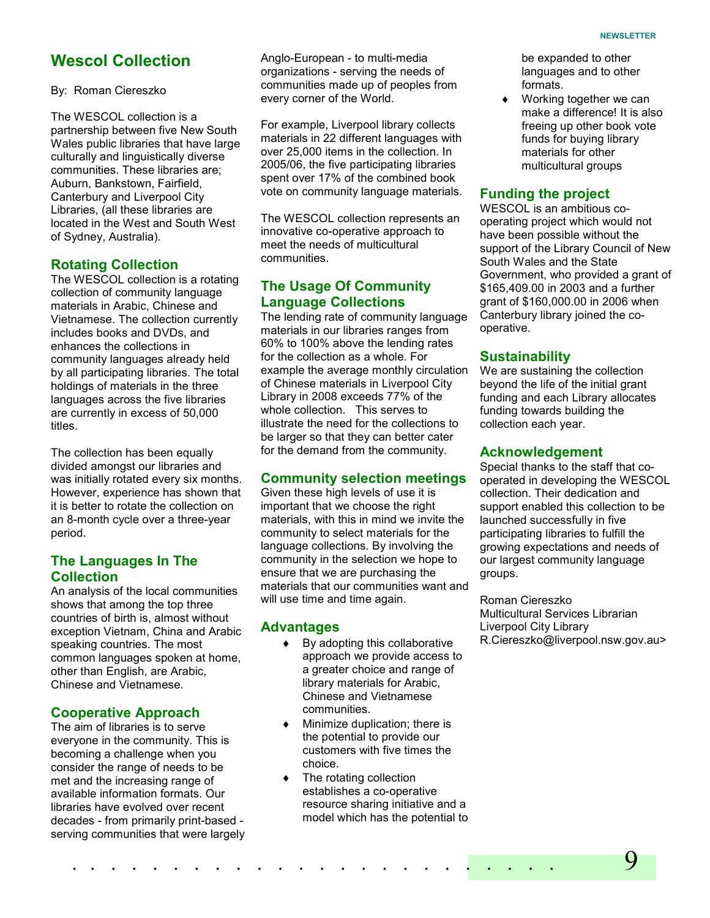# Wescol Collection

#### By: Roman Ciereszko

The WESCOL collection is a partnership between five New South Wales public libraries that have large culturally and linguistically diverse communities. These libraries are; Auburn, Bankstown, Fairfield, Canterbury and Liverpool City Libraries, (all these libraries are located in the West and South West of Sydney, Australia).

#### Rotating Collection

The WESCOL collection is a rotating collection of community language materials in Arabic, Chinese and Vietnamese. The collection currently includes books and DVDs, and enhances the collections in community languages already held by all participating libraries. The total holdings of materials in the three languages across the five libraries are currently in excess of 50,000 titles.

The collection has been equally divided amongst our libraries and was initially rotated every six months. However, experience has shown that it is better to rotate the collection on an 8-month cycle over a three-year period.

### The Languages In The **Collection**

An analysis of the local communities shows that among the top three countries of birth is, almost without exception Vietnam, China and Arabic speaking countries. The most common languages spoken at home, other than English, are Arabic, Chinese and Vietnamese.

#### Cooperative Approach

The aim of libraries is to serve everyone in the community. This is becoming a challenge when you consider the range of needs to be met and the increasing range of available information formats. Our libraries have evolved over recent decades - from primarily print-based serving communities that were largely Anglo-European - to multi-media organizations - serving the needs of communities made up of peoples from every corner of the World.

For example, Liverpool library collects materials in 22 different languages with over 25,000 items in the collection. In 2005/06, the five participating libraries spent over 17% of the combined book vote on community language materials.

The WESCOL collection represents an innovative co-operative approach to meet the needs of multicultural communities.

### The Usage Of Community Language Collections

The lending rate of community language materials in our libraries ranges from 60% to 100% above the lending rates for the collection as a whole. For example the average monthly circulation of Chinese materials in Liverpool City Library in 2008 exceeds 77% of the whole collection. This serves to illustrate the need for the collections to be larger so that they can better cater for the demand from the community.

### Community selection meetings

Given these high levels of use it is important that we choose the right materials, with this in mind we invite the community to select materials for the language collections. By involving the community in the selection we hope to ensure that we are purchasing the materials that our communities want and will use time and time again.

#### Advantages

- $\bullet$  By adopting this collaborative approach we provide access to a greater choice and range of library materials for Arabic, Chinese and Vietnamese communities.
- ♦ Minimize duplication; there is the potential to provide our customers with five times the choice.
- ♦ The rotating collection establishes a co-operative resource sharing initiative and a model which has the potential to

be expanded to other languages and to other formats.

Working together we can make a difference! It is also freeing up other book vote funds for buying library materials for other multicultural groups

#### Funding the project

WESCOL is an ambitious cooperating project which would not have been possible without the support of the Library Council of New South Wales and the State Government, who provided a grant of \$165,409.00 in 2003 and a further grant of \$160,000.00 in 2006 when Canterbury library joined the cooperative.

#### **Sustainability**

We are sustaining the collection beyond the life of the initial grant funding and each Library allocates funding towards building the collection each year.

### Acknowledgement

Special thanks to the staff that cooperated in developing the WESCOL collection. Their dedication and support enabled this collection to be launched successfully in five participating libraries to fulfill the growing expectations and needs of our largest community language groups.

Roman Ciereszko Multicultural Services Librarian Liverpool City Library R.Ciereszko@liverpool.nsw.gov.au>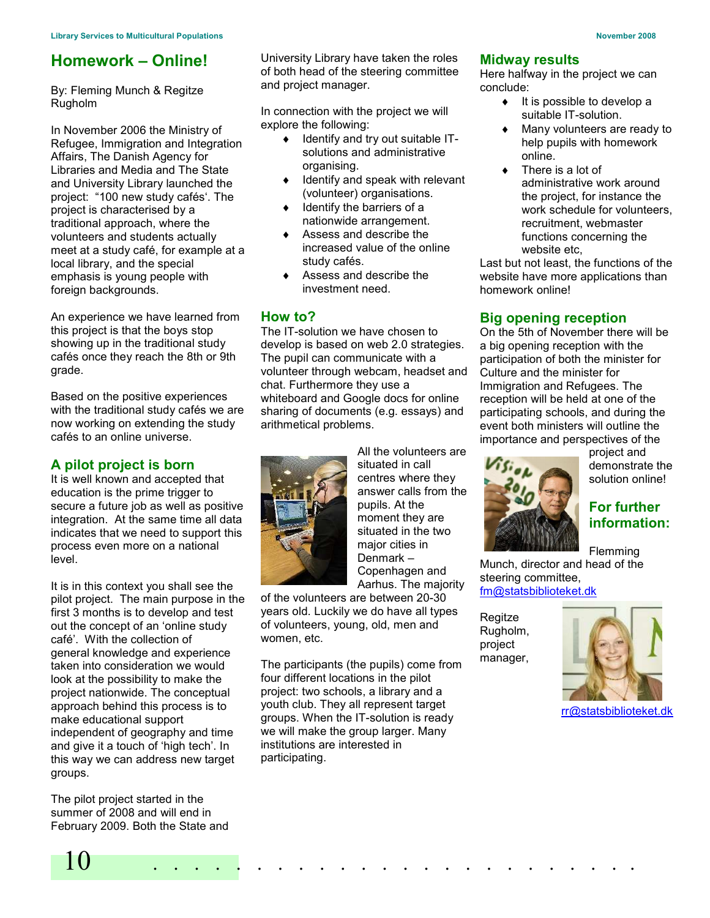# Homework – Online!

By: Fleming Munch & Regitze Rugholm

In November 2006 the Ministry of Refugee, Immigration and Integration Affairs, The Danish Agency for Libraries and Media and The State and University Library launched the project: "100 new study cafés'. The project is characterised by a traditional approach, where the volunteers and students actually meet at a study café, for example at a local library, and the special emphasis is young people with foreign backgrounds.

An experience we have learned from this project is that the boys stop showing up in the traditional study cafés once they reach the 8th or 9th grade.

Based on the positive experiences with the traditional study cafés we are now working on extending the study cafés to an online universe.

## A pilot project is born

It is well known and accepted that education is the prime trigger to secure a future job as well as positive integration. At the same time all data indicates that we need to support this process even more on a national level.

It is in this context you shall see the pilot project. The main purpose in the first 3 months is to develop and test out the concept of an 'online study café'. With the collection of general knowledge and experience taken into consideration we would look at the possibility to make the project nationwide. The conceptual approach behind this process is to make educational support independent of geography and time and give it a touch of 'high tech'. In this way we can address new target groups.

The pilot project started in the summer of 2008 and will end in February 2009. Both the State and University Library have taken the roles of both head of the steering committee and project manager.

In connection with the project we will explore the following:

- ♦ Identify and try out suitable ITsolutions and administrative organising.
- Identify and speak with relevant (volunteer) organisations.
- Identify the barriers of a nationwide arrangement.
- Assess and describe the increased value of the online study cafés.
- ♦ Assess and describe the investment need.

### How to?

The IT-solution we have chosen to develop is based on web 2.0 strategies. The pupil can communicate with a volunteer through webcam, headset and chat. Furthermore they use a whiteboard and Google docs for online sharing of documents (e.g. essays) and arithmetical problems.



All the volunteers are situated in call centres where they answer calls from the pupils. At the moment they are situated in the two major cities in Denmark – Copenhagen and Aarhus. The majority

of the volunteers are between 20-30 years old. Luckily we do have all types of volunteers, young, old, men and women, etc.

The participants (the pupils) come from four different locations in the pilot project: two schools, a library and a youth club. They all represent target groups. When the IT-solution is ready we will make the group larger. Many institutions are interested in participating.

10 . . . . . . . . . . . . . . . . . . . . . . . .

#### Midway results

Here halfway in the project we can conclude:

- $\bullet$  It is possible to develop a suitable IT-solution.
- Many volunteers are ready to help pupils with homework online.
- There is a lot of administrative work around the project, for instance the work schedule for volunteers, recruitment, webmaster functions concerning the website etc,

Last but not least, the functions of the website have more applications than homework online!

## Big opening reception

On the 5th of November there will be a big opening reception with the participation of both the minister for Culture and the minister for Immigration and Refugees. The reception will be held at one of the participating schools, and during the event both ministers will outline the importance and perspectives of the



project and demonstrate the solution online!

# For further information:

Flemming Munch, director and head of the steering committee, fm@statsbiblioteket.dk

Regitze Rugholm, project manager,



rr@statsbiblioteket.dk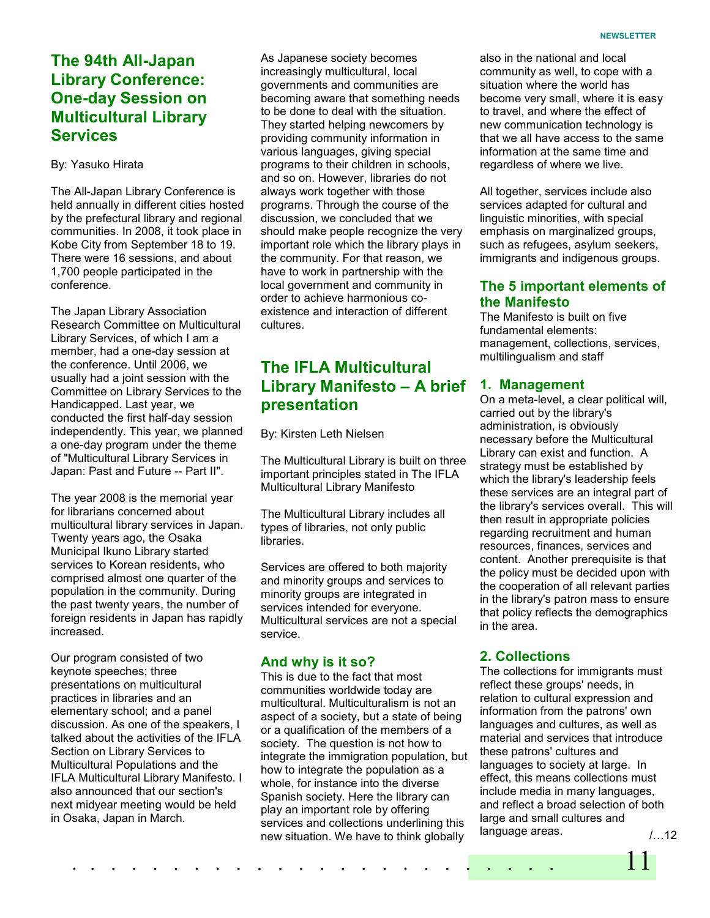# The 94th All-Japan Library Conference: One-day Session on Multicultural Library **Services**

#### By: Yasuko Hirata

The All-Japan Library Conference is held annually in different cities hosted by the prefectural library and regional communities. In 2008, it took place in Kobe City from September 18 to 19. There were 16 sessions, and about 1,700 people participated in the conference.

The Japan Library Association Research Committee on Multicultural Library Services, of which I am a member, had a one-day session at the conference. Until 2006, we usually had a joint session with the Committee on Library Services to the Handicapped. Last year, we conducted the first half-day session independently. This year, we planned a one-day program under the theme of "Multicultural Library Services in Japan: Past and Future -- Part II".

The year 2008 is the memorial year for librarians concerned about multicultural library services in Japan. Twenty years ago, the Osaka Municipal Ikuno Library started services to Korean residents, who comprised almost one quarter of the population in the community. During the past twenty years, the number of foreign residents in Japan has rapidly increased.

Our program consisted of two keynote speeches; three presentations on multicultural practices in libraries and an elementary school; and a panel discussion. As one of the speakers, I talked about the activities of the IFLA Section on Library Services to Multicultural Populations and the IFLA Multicultural Library Manifesto. I also announced that our section's next midyear meeting would be held in Osaka, Japan in March.

As Japanese society becomes increasingly multicultural, local governments and communities are becoming aware that something needs to be done to deal with the situation. They started helping newcomers by providing community information in various languages, giving special programs to their children in schools, and so on. However, libraries do not always work together with those programs. Through the course of the discussion, we concluded that we should make people recognize the very important role which the library plays in the community. For that reason, we have to work in partnership with the local government and community in order to achieve harmonious coexistence and interaction of different cultures.

# The IFLA Multicultural Library Manifesto – A brief presentation

By: Kirsten Leth Nielsen

The Multicultural Library is built on three important principles stated in The IFLA Multicultural Library Manifesto

The Multicultural Library includes all types of libraries, not only public libraries.

Services are offered to both majority and minority groups and services to minority groups are integrated in services intended for everyone. Multicultural services are not a special service.

### And why is it so?

 . . . . . . . . . . . . . . . . . . . . . . . . 11 This is due to the fact that most communities worldwide today are multicultural. Multiculturalism is not an aspect of a society, but a state of being or a qualification of the members of a society. The question is not how to integrate the immigration population, but how to integrate the population as a whole, for instance into the diverse Spanish society. Here the library can play an important role by offering services and collections underlining this new situation. We have to think globally

also in the national and local community as well, to cope with a situation where the world has become very small, where it is easy to travel, and where the effect of new communication technology is that we all have access to the same information at the same time and regardless of where we live.

All together, services include also services adapted for cultural and linguistic minorities, with special emphasis on marginalized groups, such as refugees, asylum seekers, immigrants and indigenous groups.

### The 5 important elements of the Manifesto

The Manifesto is built on five fundamental elements: management, collections, services, multilingualism and staff

### 1. Management

On a meta-level, a clear political will, carried out by the library's administration, is obviously necessary before the Multicultural Library can exist and function. A strategy must be established by which the library's leadership feels these services are an integral part of the library's services overall. This will then result in appropriate policies regarding recruitment and human resources, finances, services and content. Another prerequisite is that the policy must be decided upon with the cooperation of all relevant parties in the library's patron mass to ensure that policy reflects the demographics in the area.

## 2. Collections

The collections for immigrants must reflect these groups' needs, in relation to cultural expression and information from the patrons' own languages and cultures, as well as material and services that introduce these patrons' cultures and languages to society at large. In effect, this means collections must include media in many languages, and reflect a broad selection of both large and small cultures and language areas. /…12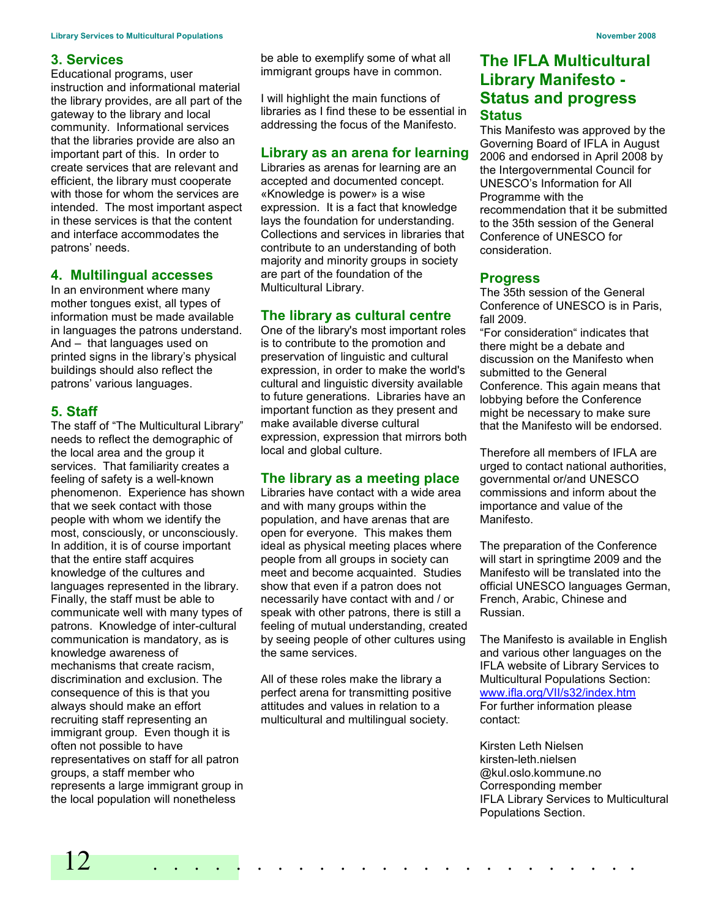#### 3. Services

Educational programs, user instruction and informational material the library provides, are all part of the gateway to the library and local community. Informational services that the libraries provide are also an important part of this. In order to create services that are relevant and efficient, the library must cooperate with those for whom the services are intended. The most important aspect in these services is that the content and interface accommodates the patrons' needs.

#### 4. Multilingual accesses

In an environment where many mother tongues exist, all types of information must be made available in languages the patrons understand. And – that languages used on printed signs in the library's physical buildings should also reflect the patrons' various languages.

#### 5. Staff

The staff of "The Multicultural Library" needs to reflect the demographic of the local area and the group it services. That familiarity creates a feeling of safety is a well-known phenomenon. Experience has shown that we seek contact with those people with whom we identify the most, consciously, or unconsciously. In addition, it is of course important that the entire staff acquires knowledge of the cultures and languages represented in the library. Finally, the staff must be able to communicate well with many types of patrons. Knowledge of inter-cultural communication is mandatory, as is knowledge awareness of mechanisms that create racism, discrimination and exclusion. The consequence of this is that you always should make an effort recruiting staff representing an immigrant group. Even though it is often not possible to have representatives on staff for all patron groups, a staff member who represents a large immigrant group in the local population will nonetheless

be able to exemplify some of what all immigrant groups have in common.

I will highlight the main functions of libraries as I find these to be essential in addressing the focus of the Manifesto.

#### Library as an arena for learning

Libraries as arenas for learning are an accepted and documented concept. «Knowledge is power» is a wise expression. It is a fact that knowledge lays the foundation for understanding. Collections and services in libraries that contribute to an understanding of both majority and minority groups in society are part of the foundation of the Multicultural Library.

#### The library as cultural centre

One of the library's most important roles is to contribute to the promotion and preservation of linguistic and cultural expression, in order to make the world's cultural and linguistic diversity available to future generations. Libraries have an important function as they present and make available diverse cultural expression, expression that mirrors both local and global culture.

#### The library as a meeting place

Libraries have contact with a wide area and with many groups within the population, and have arenas that are open for everyone. This makes them ideal as physical meeting places where people from all groups in society can meet and become acquainted. Studies show that even if a patron does not necessarily have contact with and / or speak with other patrons, there is still a feeling of mutual understanding, created by seeing people of other cultures using the same services.

All of these roles make the library a perfect arena for transmitting positive attitudes and values in relation to a multicultural and multilingual society.

# The IFLA Multicultural Library Manifesto - Status and progress **Status**

This Manifesto was approved by the Governing Board of IFLA in August 2006 and endorsed in April 2008 by the Intergovernmental Council for UNESCO's Information for All Programme with the recommendation that it be submitted to the 35th session of the General Conference of UNESCO for consideration.

#### Progress

The 35th session of the General Conference of UNESCO is in Paris, fall 2009.

"For consideration" indicates that there might be a debate and discussion on the Manifesto when submitted to the General Conference. This again means that lobbying before the Conference might be necessary to make sure that the Manifesto will be endorsed.

Therefore all members of IFLA are urged to contact national authorities, governmental or/and UNESCO commissions and inform about the importance and value of the Manifesto.

The preparation of the Conference will start in springtime 2009 and the Manifesto will be translated into the official UNESCO languages German, French, Arabic, Chinese and Russian.

The Manifesto is available in English and various other languages on the IFLA website of Library Services to Multicultural Populations Section: www.ifla.org/VII/s32/index.htm For further information please contact:

Kirsten Leth Nielsen kirsten-leth.nielsen @kul.oslo.kommune.no Corresponding member IFLA Library Services to Multicultural Populations Section.